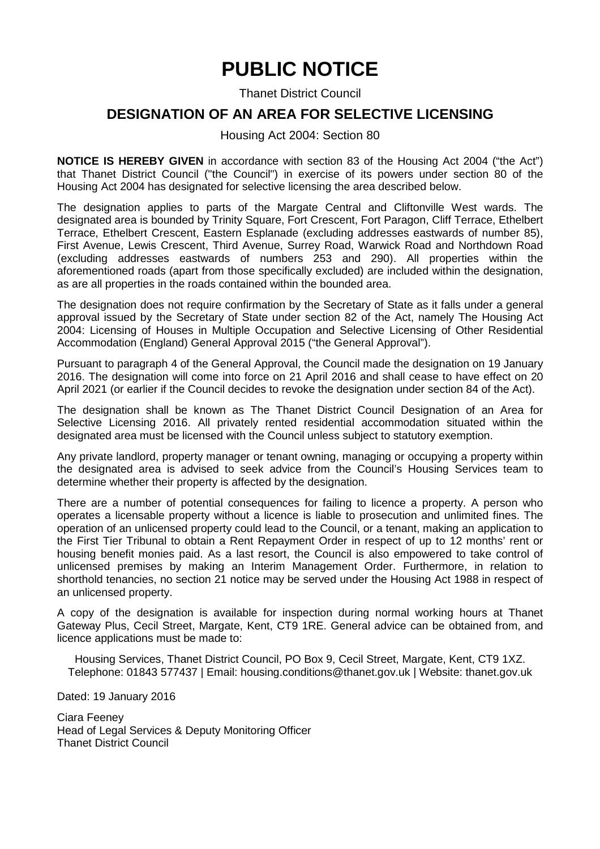# **PUBLIC NOTICE**

Thanet District Council

### **DESIGNATION OF AN AREA FOR SELECTIVE LICENSING**

#### Housing Act 2004: Section 80

**NOTICE IS HEREBY GIVEN** in accordance with section 83 of the Housing Act 2004 ("the Act") that Thanet District Council ("the Council") in exercise of its powers under section 80 of the Housing Act 2004 has designated for selective licensing the area described below.

The designation applies to parts of the Margate Central and Cliftonville West wards. The designated area is bounded by Trinity Square, Fort Crescent, Fort Paragon, Cliff Terrace, Ethelbert Terrace, Ethelbert Crescent, Eastern Esplanade (excluding addresses eastwards of number 85), First Avenue, Lewis Crescent, Third Avenue, Surrey Road, Warwick Road and Northdown Road (excluding addresses eastwards of numbers 253 and 290). All properties within the aforementioned roads (apart from those specifically excluded) are included within the designation, as are all properties in the roads contained within the bounded area.

The designation does not require confirmation by the Secretary of State as it falls under a general approval issued by the Secretary of State under section 82 of the Act, namely The Housing Act 2004: Licensing of Houses in Multiple Occupation and Selective Licensing of Other Residential Accommodation (England) General Approval 2015 ("the General Approval").

Pursuant to paragraph 4 of the General Approval, the Council made the designation on 19 January 2016. The designation will come into force on 21 April 2016 and shall cease to have effect on 20 April 2021 (or earlier if the Council decides to revoke the designation under section 84 of the Act).

The designation shall be known as The Thanet District Council Designation of an Area for Selective Licensing 2016. All privately rented residential accommodation situated within the designated area must be licensed with the Council unless subject to statutory exemption.

Any private landlord, property manager or tenant owning, managing or occupying a property within the designated area is advised to seek advice from the Council's Housing Services team to determine whether their property is affected by the designation.

There are a number of potential consequences for failing to licence a property. A person who operates a licensable property without a licence is liable to prosecution and unlimited fines. The operation of an unlicensed property could lead to the Council, or a tenant, making an application to the First Tier Tribunal to obtain a Rent Repayment Order in respect of up to 12 months' rent or housing benefit monies paid. As a last resort, the Council is also empowered to take control of unlicensed premises by making an Interim Management Order. Furthermore, in relation to shorthold tenancies, no section 21 notice may be served under the Housing Act 1988 in respect of an unlicensed property.

A copy of the designation is available for inspection during normal working hours at Thanet Gateway Plus, Cecil Street, Margate, Kent, CT9 1RE. General advice can be obtained from, and licence applications must be made to:

Housing Services, Thanet District Council, PO Box 9, Cecil Street, Margate, Kent, CT9 1XZ. Telephone: 01843 577437 | Email: housing.conditions@thanet.gov.uk | Website: thanet.gov.uk

Dated: 19 January 2016

Ciara Feeney Head of Legal Services & Deputy Monitoring Officer Thanet District Council